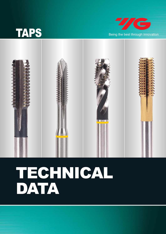





# TECHNICAL DATA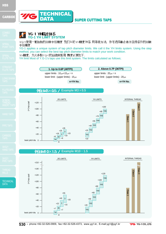





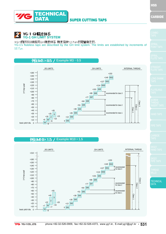HSS



### DATA SUPER CUTTING TAPS



**Example M10×1.5**

TECHNICAL

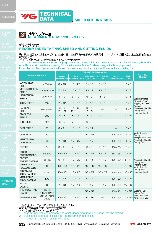**TIG** 

**TECHNICAL** DATA

DATA SUPER CUTTING TAPS

### **KT 推荐的攻丝速度**<br>ALL RECOMMENDED TAPPING SPEEDS

TECHNICAL

#### 推荐攻丝速度 **RECOMMENDED TAPPING SPEED AND CUTTING FLUIDS**

表中列出推荐的攻丝速度和切削液 丝锥材质,丝锥倒角长度的形式底孔尺寸,工件尺寸和切削液是决定合适的攻丝速度 的重要因素

THIS COMS<br>润滑, 冷却能力和抗粘合性是影响切削液的3个重要因素<br>This chart shows the recommended tapping speeds and cutting fluids. Tap material, type of tap chamfer length, dimension of drill hole, work materials and cutting fluids are important factors for determining suitable tapping speed. Lubrication, cooling capability and adhesion Resistance are the three important factors effecting cutting fluid.

|                                          |                                       |                            |                                  | <b>TAPPING SPEED (m/min)</b>         |                                |                                    |                           |                                                             |  |
|------------------------------------------|---------------------------------------|----------------------------|----------------------------------|--------------------------------------|--------------------------------|------------------------------------|---------------------------|-------------------------------------------------------------|--|
| <b>WORK MATERIALS</b>                    |                                       | SPIRAL<br>FLUTED TAP       | <b>GUN</b><br><b>POINTED TAP</b> | <b>STRAIGHT</b><br><b>FLUTED TAP</b> | <b>FLUTELESS</b><br><b>TAP</b> | <b>SOLID</b><br><b>CARBIDE TAP</b> | <b>PIPE</b><br><b>TAP</b> | <b>CUTTING</b><br><b>FLUIDS</b>                             |  |
| <b>LOW CARBON</b><br><b>STEELS</b>       | $≤$ $CO.2%$                           | $8 \sim 13$                | $15 \sim 25$                     | $8 \sim 13$                          | $8 \sim 13$                    |                                    | $3~\sim~6$                |                                                             |  |
| <b>MEDIUM CARBON</b><br><b>STEELS</b>    | CO.25~0.40%                           | $7 \sim 12$                | $10 \sim 15$                     | $7 \sim 12$                          | $7 \sim 10$                    |                                    | $3~\sim~6$                |                                                             |  |
| <b>HIGH CARBON</b><br><b>STEELS</b>      | $\geq$ CO.45%                         | $6 \sim 9$                 | $8 \sim 13$                      | $6 \sim 9$                           | $5~\sim~8$                     |                                    | 2~5                       | Sulfochlorinated                                            |  |
| <b>ALLOY STEELS</b>                      | <b>SCM</b>                            | $7 \sim 12$                | $10 \sim 15$                     | $7 \sim 12$                          | $5 \sim 8$                     |                                    | 2~ 5                      | Oil (Active Type)<br>Tapping Paste EP<br>Additive           |  |
| <b>HARDENED</b><br><b>STEELS</b>         | HRc 25~40                             | $3~\sim~5$<br>$(4 \sim 8)$ | $4 \sim 6$<br>$(6 \sim 10)$      | $3~\sim~5$<br>$(4 \sim 8)$           |                                |                                    | 2~5                       | Non-Water-Soluble<br><b>Cutting Fluid</b>                   |  |
| <b>STAINLESS</b><br><b>STEELS</b>        | <b>SUS</b>                            | $5~\sim 8$                 | $8 \sim 13$                      | $4 \sim 7$                           | $5 \sim 10$                    |                                    | $5 \sim 10$               | (Emulsion Type)                                             |  |
| <b>TOOL STEELS</b>                       | <b>SKD</b>                            | $6 \sim 9$                 | $7 \sim 10$                      | $6 \sim 9$                           |                                |                                    | 2~ 5                      |                                                             |  |
| <b>CAST STEELS</b>                       | <b>SC</b>                             | $6 \sim 11$                | $10 \sim 15$                     | $6 \sim 11$                          |                                |                                    | 2~5                       |                                                             |  |
| <b>CAST IRON</b>                         | FC                                    |                            |                                  | $10 \sim 15$                         |                                | $10 \sim 20$                       | 2~5                       | Water-Soluble<br>Cutting                                    |  |
| <b>HIGH TENSION</b><br><b>CAST IRON</b>  | <b>FCD</b>                            | $7 \sim 12$                | $10 \sim 20$                     | $7 \sim 12$                          |                                | $10 \sim 20$                       | $4 \sim 8$                | Fluid (Emulsion Type)<br>Non-Water-Soluble<br>Cutting Fluid |  |
| <b>COPPER</b>                            | Cu                                    | $6 \sim 11$                | $7 \sim 12$                      | $6~\sim 9$                           | $7 \sim 12$                    | $10 \sim 20$                       | $2 - 5$                   |                                                             |  |
| <b>BRASS</b><br><b>BRASS CASTING</b>     | Bs, BsC                               | $10 \sim 20$               | $15 \sim 25$                     | $10 - 15$                            | $7 - 12$                       | $15 \sim 25$                       | $5 \sim 10$               |                                                             |  |
| <b>BRONZE</b><br><b>BORNZE CASTING</b>   | PB, PBC                               | $6 \sim 11$                | $10 \sim 20$                     | $6 \sim 11$                          | $7 \sim 12$                    | $10 \sim 20$                       | $6 - 11$                  | Non-Water-Soluble<br><b>Cutting Fluid</b>                   |  |
| <b>ALUMINUM</b><br>ROLLED STEELS         | AL                                    | $10 \sim 20$               | $15 \sim 25$                     | $10 \sim 20$                         | $10 \sim 20$                   |                                    | $5 - 10$                  | (Inactive Type)<br>Water-Soluble                            |  |
| <b>ALUMINUM</b><br><b>ALLOY CASTING</b>  | AC, ADC                               | $10 \sim 15$               | $15 \sim 20$                     | $10 - 15$                            | $10 \sim 15$                   | $10 \sim 20$                       | $10 - 15$                 | Cutting Fluid<br>(Emulsion Type)                            |  |
| <b>MAGNESIUM</b><br><b>ALLOY CASTING</b> | <b>MC</b>                             | $7 \sim 12$                | $10 \sim 15$                     | $7 \sim 12$                          |                                | $10 \sim 20$                       | $10 - 15$                 |                                                             |  |
| <b>ZINC ALLOY</b><br><b>CASTING</b>      | ZDC                                   | $7 \sim 12$                | $10 \sim 15$                     | $7 \sim 12$                          | 7 ~ 12                         | $10 \sim 20$                       | $10 - 15$                 |                                                             |  |
| <b>THERMOSETTING</b><br><b>PLASTIC</b>   | <b>BAKELITE</b><br>PHENOL, EPOXY      |                            |                                  | $10 \sim 20$                         |                                | $15 - 25$                          | $5 - 10$                  | Water-Soluble<br><b>Cutting Fluid</b>                       |  |
| <b>THERMOPLASTIC</b>                     | <b>VINYL CHLORIDE</b><br><b>NYLON</b> | $10 \sim 15$               | $10 \sim 20$                     | $10 \sim 20$                         |                                | $10 \sim 20$                       | $5 - 10$                  | Mist Lubrication<br>Air Cooling, Dry                        |  |

1这些是一般的建议,根据实际条件,可能有变化.

1. These and the general recomment of the recomment of the general recomment of the general recomment of the s<br>3. ( ) =是关于HSS-PM丝锥的推荐<br>1. These are general recommendations which depending upon conditions, may be altered.

2. To select the best taps, please see Tap Recommended Table.

3. ( )=recommendation for HSS-PM taps.



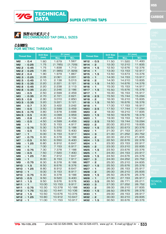



TECHNICAL<sup>1</sup>

### **FOR METRIC THREADS**

 $\gamma$ 

|                                 | <b>Drill Size</b> |         | $D1$ (mm) |                            | <b>Drill Size</b> | $D1$ (mm) |        | <b>SPIRAL</b> |
|---------------------------------|-------------------|---------|-----------|----------------------------|-------------------|-----------|--------|---------------|
| <b>Thread Size</b>              | (mm)              | Max.    | Min.      | <b>Thread Size</b>         | (mm)              | Max.      | Min.   | <b>FLUTE</b>  |
| $\times$ 0.4<br>M <sub>2</sub>  | 1.60              | 1.679   | 1.567     | M12 $\times$ 0.5           | 11.50             | 11.520    | 11.400 |               |
| M <sub>2</sub><br>$\times$ 0.25 | 1.75              | (1.785) | (1.729)   | M14<br>$\times$ 2          | 12.00             | 12.210    | 11.835 |               |
| M2.2 $\times$ 0.45              | 1.75              | 1.838   | 1.713     | M14 $\times$ 1.5           | 12.50             | 12.676    | 12.376 | STRAIG        |
| M2.2 $\times$ 0.25              | 1.95              | (1.985) | (1.929)   | M14<br>$\times$ 1          | 13.00             | 13.153    | 12.917 | FLUTE         |
| M2.2 $\times$ 0.4               | 1.90              | 1.979   | 1.867     | M15<br>$\times$ 1.5        | 13.50             | 13.673    | 13.376 |               |
| M2.3 $\times$ 0.25              | 2.05              | 2.061   | 2.001     | M15<br>$\times$ 1          | 14.00             | 14.153    | 13.917 | _ONG          |
| $M2.5 \times 0.45$              | 2.10              | 2.138   | 5.013     | M16<br>$\times$ 2          | 14.00             | 14.210    | 13.835 | TAPS          |
| $M2.5 \times 0.35$              | 2.20              | 2.221   | 2.121     | M16<br>$\times$ 1.5        | 14.50             | 14.676    | 14.376 |               |
| M2.6 $\times$ 0.45              | 2.20              | 2.238   | 2.113     | M16<br>$\times$ 1          | 15.00             | 15.153    | 14.917 |               |
| M2.6 $\times$ 0.35              | 2.20              | 2.246   | 2.186     | M17<br>$\times$ 1.5        | 15.50             | 15.676    | 15.376 | FLUTEL        |
| $\times$ 0.5<br>MЗ              | 2.50              | 2.599   | 2.459     | M17 $\times$ 1             | 16.00             | 16.153    | 15.917 | TAPS.         |
| M <sub>3</sub><br>$\times$ 0.35 | 2.70              | 2.721   | 2.621     | M18<br>$\times$ 2.5        | 15.50             | 15.744    | 15.294 |               |
| $M3.5 \times 0.6$               | 2.90              | 3.010   | 2.850     | M18<br>$~\times$ 2         | 16.00             | 16.210    | 15.835 | <b>SCRE\</b>  |
| $M3.5 \times 0.35$              | 3.20              | 3.221   | 3.121     | M18<br>$\times$ 1.5        | 16.50             | 16.676    | 16.376 | THRE/         |
| M <sub>4</sub><br>$\times$ 0.7  | 3.30              | 3.422   | 3.242     | M18<br>$\times$ 1          | 17.00             | 17.153    | 16.917 | INSERT        |
| M4<br>$\times$ 0.5              | 3.50              | 3.599   | 3.459     | <b>M20</b><br>$\times$ 2.5 | 17.50             | 17.744    | 17.294 |               |
| $M4.5 \times 0.75$              | 3.80              | 3.878   | 3.688     | <b>M20</b><br>$\times$ 2   | 18.00             | 18.210    | 17.835 |               |
| $M4.5 \times 0.5$               | 4.00              | 4.099   | 3.959     | $\times$ 1.5<br><b>M20</b> | 18.50             | 18.676    | 18.376 | HAND T        |
| M <sub>5</sub><br>$\times$ 0.8  | 4.20              | 4.334   | 4.134     | <b>M20</b><br>$\times$ 1   | 19.00             | 19.153    | 18.917 |               |
| M <sub>5</sub><br>$\times$ 0.5  | 4.50              | 4.599   | 4.459     | M22<br>$\times$ 2.5        | 19.50             | 19.744    | 19.294 |               |
| M6<br>$\times$ 1                | 5.00              | 5.153   | 4.917     | M22<br>$~\times$ 2         | 20.00             | 20.210    | 19.835 | PIPE TA       |
| $\times$ 0.75<br>M <sub>6</sub> | 5.30              | 5.378   | 5.188     | M22<br>$\times$ 1.5        | 20.50             | 20.673    | 20.376 |               |
| $\times$ 0.5<br>M6              | 5.50              | 5.550   | 5.400     | M22<br>$\times$ 1          | 21.00             | 21.153    | 20.917 |               |
| M <sub>7</sub><br>$\times$ 1    | 6.00              | 6.153   | 5.917     | M24 $\times$ 3             | 21.00             | 21.252    | 20.752 | CARBID        |
| $\times$ 0.75<br>M7             | 6.30              | 6.378   | 6.188     | M24<br>$\times$ 2          | 22.00             | 22.210    | 21.835 | <b>APS</b>    |
| $\times$ 0.5<br>M <sub>7</sub>  | 6.50              | 6.550   | 6.400     | M24<br>$\times$ 1.5        | 22.50             | 22.676    | 22.376 |               |
| $\times$ 1.25<br>M8             | 6.80              | 6.912   | 6.647     | M24<br>$\times$ 1          | 23.00             | 23.153    | 22.917 |               |
| $\times$ 1<br>M <sub>8</sub>    | 7.00              | 7.153   | 6.917     | M25<br>$\times$ 2          | 23.00             | 23.210    | 22.835 | SKS21         |
| M8<br>$\times$ 0.75             | 7.30              | 7.378   | 7.188     | M25<br>$\times$ 1.5        | 23.50             | 23.676    | 23.376 | HAND 1        |
| $\times$ 0.5<br>M <sub>8</sub>  | 7.50              | 7.520   | 7.400     | M25<br>$\times$ 1          | 24.00             | 24.153    | 23.917 |               |
| M <sub>9</sub><br>$\times$ 1.25 | 7.80              | 7.912   | 7.647     | M26<br>$\times$ 1.5        | 24.50             | 24.676    | 24.376 | SKS21         |
| $\times$ 1<br>M <sub>9</sub>    | 8.00              | 8.153   | 7.917     | M27<br>$\times$ 3          | 24.00             | 24.252    | 23.752 | PIPE T/       |
| M <sub>9</sub><br>$\times$ 0.75 | 8.30              | 8.378   | 8.188     | M27<br>$\times$ 2          | 25.00             | 25.210    | 24.835 |               |
| $\times$ 1.5<br>M10             | 8.50              | 8.676   | 8.376     | M27<br>$\times$ 1.5        | 25.50             | 25.676    | 25.376 |               |
| $\times$ 1.25<br><b>M10</b>     | 8.80              | 8.912   | 8.647     | M27<br>$\times$ 1          | 26.00             | 26.153    | 25.917 | THRE/         |
| <b>M10</b><br>$\times$ 1        | 9.00              | 9.153   | 8.917     | M28<br>$\times$ 2          | 26.00             | 26.210    | 25.835 | VIILLS        |
| M10 $\times$ 0.75               | 9.30              | 9.378   | 9.188     | M28<br>$\times$ 1.5        | 26.50             | 26.676    | 26.376 |               |
| M10 $\times$ 0.5                | 9.50              | 9.520   | 9.400     | M28 $\times$ 1             | 27.00             | 27.153    | 26.917 |               |
| M11 $\times$ 1.5                | 9.50              | 9.676   | 9.376     | M30 $\times$ 3.5           | 26.50             | 26.771    | 26.211 | <b>TECHN</b>  |
| M11 $\times$ 1                  | 10.00             | 10.153  | 9.917     | M30 $\times$ 3             | 27.00             | 27.252    | 26.752 | <b>DATA</b>   |
| $M11 \times 0.75$               | 10.30             | 10.378  | 10.188    | $M30 \times 2$             | 28.00             | 28.210    | 27.835 |               |
| M12 $\times$ 1.75               | 10.30             | 10.441  | 10.106    | M30 $\times$ 1.5           | 28.50             | 28.676    | 28.376 |               |
| M12 $\times$ 1.5                | 10.50             | 10.676  | 10.376    | M30 $\times$ 1             | 29.00             | 29.153    | 28.917 |               |
| M12 $\times$ 1.25               | 10.80             | 10.912  | 10.647    | M32 $\times$ 2             | 30.00             | 30.210    | 29.835 |               |
| M12 $\times$ 1                  | 11.00             | 11.153  | 10.917    | M32 $\times$ 1.5           | 30.50             | 30.676    | 30.376 |               |

**CARBIDE** 

CAL

**7/G** YG-1 CO., LTD.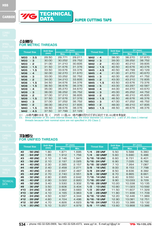

#### DATA SUPER CUTTING TAPS

**TECHNICAL** DATA

| 公制螺纹 |                           |
|------|---------------------------|
|      | <b>FOR METRIC THREADS</b> |

|                            | <b>Drill Size</b> |        | $D1$ (mm) |                            | <b>Drill Size</b> | $D1$ (mm) |        |
|----------------------------|-------------------|--------|-----------|----------------------------|-------------------|-----------|--------|
| <b>Thread Size</b>         | (mm)              | Max.   | Min.      | <b>Thread Size</b>         | (mm)              | Max.      | Min.   |
| $\times$ 3.5<br><b>M33</b> | 29.50             | 29.771 | 29.211    | M42<br>$\times$ 4          | 38.00             | 38.270    | 37.670 |
| <b>M33</b><br>$\times$ 3   | 30.00             | 30.252 | 29.752    | M42<br>$\times$ 3          | 39.00             | 39.252    | 38.752 |
| $\times$ 2<br><b>M33</b>   | 31.00             | 31.210 | 30.835    | M42<br>$\times$ 2          | 40.00             | 40.210    | 39.835 |
| <b>M33</b><br>$\times$ 1.5 | 31.50             | 31.676 | 31.376    | M42<br>$\times$ 1.5        | 40.50             | 40.676    | 40.376 |
| M35<br>$\times$ 1.5        | 33.50             | 33.676 | 33.376    | M45<br>$\times$ 4.5        | 40.50             | 40.799    | 40.129 |
| <b>M36</b><br>$\times$ 4   | 32.00             | 32.270 | 31.670    | M45<br>$\times$ 4          | 41.00             | 41.270    | 40.670 |
| <b>M36</b><br>$\times$ 3   | 33.00             | 33.252 | 32.752    | M45<br>$\times$ 3          | 42.00             | 42.252    | 41.752 |
| <b>M36</b><br>$\times$ 2   | 34.00             | 34.210 | 33.835    | M45<br>$\times$ 2          | 43.00             | 43.210    | 72.835 |
| <b>M36</b><br>$\times$ 1.5 | 34.50             | 34.676 | 34.376    | M45<br>$\times$ 1.5        | 43.50             | 43.676    | 73.376 |
| <b>M38</b><br>$\times$ 1.5 | 36.50             | 36.676 | 36.376    | M48<br>$\times$ 5          | 43.00             | 43.297    | 42.587 |
| <b>M39</b><br>$\times$ 4   | 35.00             | 35.270 | 34.670    | M48<br>$\times$ 4          | 44.00             | 44.270    | 43.670 |
| M39<br>$\times$ 3          | 36.00             | 36.252 | 35.752    | M48<br>$\times$ 3          | 45.00             | 45.252    | 44.752 |
| M39<br>$\times$ 2          | 37.00             | 37.210 | 36.835    | M48<br>$\times$ 2          | 46.00             | 46.210    | 45.835 |
| <b>M39</b><br>$\times$ 1.5 | 37.50             | 37.676 | 37.376    | M48<br>$\times$ 1.5        | 46.50             | 46.676    | 46.376 |
| $\times$ 3<br>M40          | 37.00             | 37.252 | 36.752    | <b>M50</b><br>$\times$ 3   | 47.00             | 47.252    | 46.752 |
| M40<br>$\times$ 2          | 38.00             | 38.210 | 37.835    | <b>M50</b><br>$\times$ 2   | 48.00             | 48.210    | 47.835 |
| M40<br>$\times$ 1.5        | 38.50             | 38.676 | 38.376    | <b>M50</b><br>$\times$ 1.5 | 48.50             | 48.676    | 48.376 |
| M42<br>$\times$ 4.5        | 37.50             | 37.799 | 37.129    |                            |                   |           |        |

D1 : JB级内螺纹小径 但 ( )内的 D1是JB 级内螺纹因为它们的公称尺寸在JB2级中未指定.<br>D1 : Minor diameter of JIS calss internal thread. But, the minor diameter D1 shown in ( ) are of JIS class 1 internal threads because their nominal sizes are not specified in JIS Class 2.

#### 英制螺纹 **FOR UNIFIED THREADS**

| <b>Thread Size</b> |                | <b>Drill Size</b> |       | $D1$ (mm) |                    | <b>Drill Size</b> | $D1$ (mm) |        |
|--------------------|----------------|-------------------|-------|-----------|--------------------|-------------------|-----------|--------|
|                    |                | (mm)              | Max.  | Min.      | <b>Thread Size</b> | (mm)              | Max.      | Min.   |
| #2                 | - 56 UNC       | 1.80              | 1.871 | 1.695     | $1/4 - 28$ UNF     | 5.50              | 5.588     | 5.360  |
| #2                 | - 64 UNF       | 1.85              | 1.912 | 1.756     | $1/4 - 32$ UNEF    | 5.60              | 5.690     | 5.486  |
| #3                 | - 48 UNC       | 2.10              | 2.146 | 1.941     | $5/16 - 18$ UNC    | 6.60              | 6.731     | 6.401  |
| #3                 | - 56 UNF       | 2.10              | 2.197 | 2.025     | $5/16 - 24$ UNF    | 6.90              | 7.035     | 6.782  |
| #4                 | - 40 UNC       | 2.30              | 2.385 | 2.157     | 5/16 - 32 UNEF     | 7.10              | 7.264     | 7.087  |
| #4                 | - 48 UNF       | 2.40              | 2.458 | 2.271     | $3/8 - 16$ UNC     | 8.00              | 8.153     | 7.798  |
| #5                 | - 40 UNC       | 2.60              | 2.697 | 2.487     | - 24 UNF<br>3/8    | 8.50              | 8.636     | 8.382  |
| #5                 | - 44 UNF       | 2.70              | 2.740 | 2.551     | $3/8 - 32$ UNEF    | 8.70              | 8.865     | 8.661  |
| #6                 | - 32 UNC       | 2.80              | 2.895 | 2.642     | 7/16 - 14 UNC      | 9.40              | 9.550     | 9.144  |
| #6                 | - 40 UNF       | 2.90              | 3.022 | 2.820     | 7/16 - 20 UNF      | 9.90              | 10.033    | 9.729  |
| #8                 | - 32 UNC       | 3.40              | 3.530 | 3.302     | 7/16 - 28 UNEF     | 10.20             | 10.338    | 10.135 |
| #8                 | - 36 UNF       | 3.50              | 3.606 | 3.404     | $1/2 - 13$ UNC     | 10.80             | 11.023    | 10.592 |
| #10                | - 24 UNC       | 3.90              | 3.962 | 3.683     | $1/2 - 20$ UNF     | 11.50             | 11.607    | 11.329 |
| #10                | - 32 UNF       | 4.10              | 4.165 | 3.963     | $1/2 - 28$ UNEF    | 11.80             | 11.938    | 11.709 |
| #12                | - 24 UNC       | 4.50              | 4.597 | 4.344     | $9/16 - 12$ UNC    | 12.20             | 12.446    | 11.989 |
| #12                | - 28 UNF       | 4.60              | 4.724 | 4.496     | $9/16 - 18$ UNF    | 12.90             | 13.081    | 12.751 |
| #12                | - 32 UNF       | 4.70              | 4.826 | 4.623     | $9/16 - 24$ UNEF   | 13.20             | 13.386    | 13.132 |
|                    | $1/4 - 20$ UNC | 5.10              | 5.257 | 4.979     | $5/8 - 11$ UNC     | 13.60             | 13.868    | 13.386 |

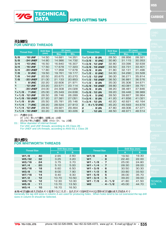### **FOR UNIFIED THREADS**

|              |                     | <b>Drill Size</b> | $D1$ (mm) |        |                         | <b>Drill Size</b> | $D1$ (mm) |        |            |
|--------------|---------------------|-------------------|-----------|--------|-------------------------|-------------------|-----------|--------|------------|
|              | <b>Thread Size</b>  | (mm)              | Max.      | Min.   | <b>Thread Size</b>      | (mm)              | Max.      | Min.   |            |
| 5/8          | $-18$ UNF           | 14.50             | 14.681    | 14.351 | $1 * 1/4 - 8 UN$        | 28.50             | 28.956    | 28.321 |            |
| 5/8          | - 24 UNEF           | 14.80             | 14.986    | 14.732 | $1 * 3/8 - 6$ UNC       | 30.80             | 31.115    | 30.353 |            |
| 3/4          | $-10$ UNC           | 16.50             | 16.840    | 16.307 | $1 * 3/8 - 12$ UNF      | 32.80             | 33.096    | 32.639 |            |
| 3/4          | - 16 UNF            | 17.50             | 17.678    | 17.323 | $1 * 3/8 - 18$ UNEF     | 33.50             | 33.731    | 33.401 | STRAIG     |
| 3/4          | - 20 UNEF           | 17.80             | 17.958    | 17.678 | $1*3/8 - 8$ UN          | 31.80             | 32.131    | 31.496 | FLUTE      |
| 7/8          | $-9$ UNC            | 19.50             | 19.761    | 19.177 | $1 * 1/2 - 6$ UNC       | 34.00             | 34.290    | 33.528 |            |
| 7/8          | - 14 UNF            | 20.50             | 20.675    | 20.270 | $1 * 1/2 - 12$ UNF      | 36.00             | 36.271    | 35.814 |            |
| 7/8          | - 20 UNEF           | 21.00             | 21.133    | 20.853 | $1 * 1/2 - 18$ UNEF     | 36.50             | 36.881    | 36.576 |            |
| $\mathbf 1$  | $-8$ UNC            | 22.20             | 22.606    | 21.971 | $1 * 1/2 - 8 UN$        | 35.00             | 35.306    | 34.671 | APS.       |
| $\mathbf{1}$ | - 12 UNF            | 23.20             | 23.571    | 23.114 | 1 * 5/8 - 18 UNEF       | 39.80             | 40.081    | 39.751 |            |
| $\mathbf 1$  | - 20 UNEF           | 24.00             | 24.308    | 24.028 | $1 * 5/8 - 8 UN$        | 38.20             | 38.481    | 37.846 |            |
|              | $1 * 1/8 - 7$ UNC   | 25.00             | 25.349    | 24.638 | 1 * 5/8 - 12 UN         | 39.20             | 39.446    | 38.989 | APS.       |
|              | $1 * 1/8 - 12$ UNF  | 26.50             | 26.746    | 26.289 | $1*3/4 - 5$ UNC         | 39.50             | 39.827    | 38.964 |            |
|              | $1 * 1/8 - 18$ UNEF | 27.20             | 27.381    | 27.051 | $1 * 3/4 - 8 UN$        | 41.20             | 41.656    | 41.021 | <b>CRE</b> |
|              | $1 * 1/8 - 8 UN$    | 25.50             | 25.781    | 25.146 | $1 * 3/4 - 12$ UN       | 42.20             | 42.621    | 42.164 |            |
|              | $1 * 1/4 - 7$ UNC   | 28.20             | 28.524    | 27.813 | $2 - 4 * 1 / 2$ UNC     | 45.20             | 45.593    | 44.679 | NSERT      |
|              | $1 * 1/4 - 12$ UNF  | 29.50             | 29.921    | 29.464 | 2<br>$-8 UN$            | 47.80             | 48.006    | 47.371 |            |
|              | $1 * 1/4 - 18$ UNEF | 30.20             | 30.556    | 30.226 | $\mathbf{P}$<br>- 12 UN | 48.50             | 48.971    | 48.514 |            |
|              |                     |                   |           |        |                         |                   |           |        |            |

D1:内螺纹小径.

D1: Minor Chinor UNF<br>
Thread. Thread. Thread. Thread. D1: Minor diameter of internal thread.<br>
D1: Minor diameter of internal thread.

For UNC and UNF threads, according to JIS Class 2B; For UNEF and UN threads, according to ANSI B1.1 Class 2B

#### 惠氏螺纹 **FOR WHITWORTH THREADS**

| <b>Thread Size</b> | Drill Size (mm) |       | <b>Thread Size</b>                             | Drill Size (mm) |       |  |
|--------------------|-----------------|-------|------------------------------------------------|-----------------|-------|--|
|                    | A               | B     |                                                | $\mathsf{A}$    | B.    |  |
| W1/8<br>$-40$      | 2.65            | 2.60  | W7/8<br>- 9                                    | 19.50           | 19.30 |  |
| W5/32<br>- 32      | 3.25            | 3.20  | - 8<br>W <sub>1</sub>                          | 22.40           | 22.00 |  |
| W3/16<br>- 24      | 3.75            | 3.70  | $W1 * 1/8$<br>$\overline{7}$<br>$\blacksquare$ | 25.00           | 24.80 |  |
| W1/4<br>- 20       | 5.10            | 5.00  | $W1 * 1/4$<br>7<br>$\sim$                      | 28.30           | 28.00 |  |
| W5/16<br>$-18$     | 6.60            | 6.50  | $W1 * 3/8$<br>- 6                              | 30.50           | 30.30 |  |
| W3/8<br>$-16$      | 8.00            | 7.90  | $W1 * 1/2$<br>- 6                              | 33.80           | 33.50 |  |
| W7/16<br>$-14$     | 9.40            | 9.30  | - 5<br>$W1 * 5/8$                              | 36.00           | 35.70 |  |
| $-12$<br>W1/2      | 10.70           | 10.50 | 5<br>$W1 * 3/4$<br>$\sim$                      | 39.20           | 39.00 |  |
| W9/16<br>$-12$     | 12.30           | 12.00 | $W1 * 7/8$<br>$4 * 1/2$<br>$\sim$              | 41.80           | 41.50 |  |
| W5/8<br>$-11$      | 13.70           | 13.50 | W <sub>2</sub><br>$-4*1/2$                     | 45.00           | 44.70 |  |
| W3/4<br>$-10$      | 16.70           | 16.50 |                                                |                 |       |  |

通常A栏的螺纹底孔的钻头尺寸是用于加工孔的:当孔的尺寸趋向变大时应选择B栏的螺纹底孔的钻头尺寸<br>Generally the tap drill sizes in column A are used for producing holes ; When holes tend to be cut oversized the tap drill sizes in column B should be Selected.

HSS

**CARBIDE** 

**TECHNICAL** DATA

**YG** YG-1 CO., LTD.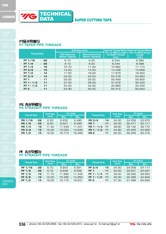

**TECHNICAL** DATA

**PT锥形管螺纹**<br>PT TAPER PIPE THREADS

|                                | Drill Size (mm)                              |                                                  |                                                  | Internal Thread Minor Internal Thread Minor |  |
|--------------------------------|----------------------------------------------|--------------------------------------------------|--------------------------------------------------|---------------------------------------------|--|
| <b>Thread Size</b>             | <b>With Reaming</b><br><b>Before Tapping</b> | <b>Without Reaming</b><br><b>Before Tapoping</b> | Dia. on [Min] Length<br>of Useful Thread<br>(mm) | Dia. on [Min] Gauge<br>Length<br>(mm)       |  |
| PT 1/16<br>$-28$               | 6.10                                         | 6.20                                             | 6.244                                            | 6.384                                       |  |
| PT $1/8$<br>- 28               | 8.10                                         | 8.20                                             | 8.249                                            | 8.388                                       |  |
| PT $1/4$<br>$-19$              | 10.70                                        | 11.00                                            | 10.962                                           | 11.174                                      |  |
| PT 3/8<br>$-19$                | 14.20                                        | 14.50                                            | 14.448                                           | 14.658                                      |  |
| PT $1/2$<br>$-14$              | 17.60                                        | 18.00                                            | 17.979                                           | 18.263                                      |  |
| PT 3/4<br>$-14$                | 23.00                                        | 23.50                                            | 23.378                                           | 23.663                                      |  |
| <b>PT 1</b><br>$-11$           | 29.00                                        | 29.50                                            | 29.459                                           | 29.822                                      |  |
| PT 1 $*$ 1/4<br>11<br>$\sim$ . | 37.50                                        | 38.00                                            | 37.976                                           | 38.339                                      |  |
| PT 1 $*$ 1/2<br>11<br>$\sim$   | 43.40                                        | 44.00                                            | 43.869                                           | 44.232                                      |  |
| PT <sub>2</sub><br>- 11        | 54.90                                        | 55.50                                            | 55.412                                           | 55.844                                      |  |

### **PS 直形管螺纹<br>PS STRAIGHT PIPE THREADS**

| <b>Thread Size</b> |       | Drill Size | $D1$ (mm) |        |                    |       | <b>Drill Size</b> | $D1$ (mm) |        |
|--------------------|-------|------------|-----------|--------|--------------------|-------|-------------------|-----------|--------|
|                    |       | (mm)       | Max.      | Min.   | <b>Thread Size</b> |       | (mm)              | Max.      | Min.   |
| PS 1/16            | $-28$ | 6.50       | 6.632     | 6.490  | PS 3/4             | $-14$ | 24.00             | 24.259    | 23.975 |
| PS 1/8             | - 28  | 8.50       | 8.637     | 8.495  | <b>PS 1</b>        | $-11$ | 30.20             | 30.471    | 30.111 |
| PS 1/4             | $-19$ | 11.40      | 11.549    | 11.341 | $PS 1 * 1/4 - 11$  |       | 38.80             | 39.132    | 38.772 |
| PS 3/8             | $-19$ | 15.00      | 15.054    | 14.846 | $PS 1 * 1/2 - 11$  |       | 44.80             | 45.025    | 44.665 |
| PS 1/2             | $-14$ | 18.50      | 18.773    | 18.489 | <b>PS 2</b>        | $-11$ | 56.50             | 56.836    | 56.476 |

# **PF 直形管螺纹<br>PF STRAIGHT PIPE THREADS**

| Thread Size |       | <b>Drill Size</b> | $D1$ (mm) |        | <b>Thread Size</b> |       | <b>Drill Size</b> | $D1$ (mm) |        |
|-------------|-------|-------------------|-----------|--------|--------------------|-------|-------------------|-----------|--------|
|             |       | (mm)              | Max.      | Min.   |                    |       | (mm)              | Max.      | Min.   |
| PF 1/16     | $-28$ | 6.70              | 6.843     | 6.561  | PF 3/4             | $-14$ | 24.50             | 24.658    | 24.117 |
| PF $1/8$    | - 28  | 8.70              | 8.848     | 8.566  | PF <sub>1</sub>    | $-11$ | 30.50             | 30.931    | 30.291 |
| PF 1/4      | $-19$ | 11.70             | 11.890    | 11.445 | PF $1 * 1/4 - 11$  |       | 39.20             | 39.592    | 38.952 |
| PF $3/8$    | $-19$ | 15.20             | 15.395    | 14.950 | PF $1 * 1/2 - 11$  |       | 45.00             | 45.485    | 44.845 |
| PF $1/2$    | $-14$ | 19.00             | 19.172    | 18.631 | PF <sub>2</sub>    | $-11$ | 57.00             | 57.296    | 56.656 |

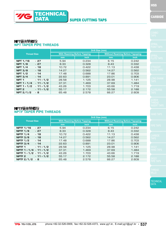**HSS** 

### **NPT 往形管螺纹<br>NPT TAPER PIPE THREADS**

|                      |             |       | Drill Size (mm)                    |                                        |       |  |
|----------------------|-------------|-------|------------------------------------|----------------------------------------|-------|--|
| <b>Thread Size</b>   |             |       | <b>With Reaming Before Tapping</b> | <b>Without Reaming Before Tapoping</b> |       |  |
|                      |             | mm    | <i>inch</i>                        | mm                                     | inch  |  |
| NPT 1/16             | - 27        | 5.94  | 0.234                              | 6.15                                   | 0.242 |  |
| NPT $1/8$            | $-27$       | 8.33  | 0.328                              | 8.43                                   | 0.332 |  |
| NPT $1/4$            | - 18        | 10.72 | 0.422                              | 11.13                                  | 0.438 |  |
| NPT $3/8$            | $-18$       | 14.27 | 0.562                              | 14.27                                  | 0.562 |  |
| NPT $1/2$            | $-14$       | 17.48 | 0.688                              | 17.86                                  | 0.703 |  |
| NPT $3/4$            | $-14$       | 22.63 | 0.891                              | 23.01                                  | 0.906 |  |
| NPT <sub>1</sub>     | $-11 * 1/2$ | 28.58 | 1.125                              | 28.98                                  | 1.141 |  |
| <b>NPT</b> $1 * 1/4$ | $-11 * 1/2$ | 37.31 | 1.469                              | 37.69                                  | 1.484 |  |
| <b>NPT</b> $1 * 1/2$ | $-11 * 1/2$ | 43.26 | 1.703                              | 43.66                                  | 1.719 |  |
| NPT <sub>2</sub>     | $-11 * 1/2$ | 55.17 | 2.172                              | 55.58                                  | 2.188 |  |
| NPT $2/1/2$          | - 8         | 65.48 | 2.578                              | 66.27                                  | 2.609 |  |

#### NPTF锥形管螺纹 **NPTF TAPER PIPE THREADS**

|                                |                                    | <b>Drill Size (mm)</b> |       |                                        |
|--------------------------------|------------------------------------|------------------------|-------|----------------------------------------|
| <b>Thread Size</b>             | <b>With Reaming Before Tapping</b> |                        |       | <b>Without Reaming Before Tapoping</b> |
|                                | mm                                 | inch                   | mm    | inch                                   |
| NPTF 1/16<br>- 27              | 5.94                               | 0.234                  | 6.15  | 0.242                                  |
| NPTF $1/8$<br>- 27             | 8.33                               | 0.328                  | 8.43  | 0.332                                  |
| NPTF $1/4$<br>$-18$            | 10.72                              | 0.422                  | 11.13 | 0.438                                  |
| NPTF $3/8$<br>$-18$            | 14.27                              | 0.562                  | 14.27 | 0.562                                  |
| NPTF $1/2$<br>$-14$            | 17.48                              | 0.688                  | 17.86 | 0.703                                  |
| NPTF $3/4$<br>$-14$            | 22.63                              | 0.891                  | 23.01 | 0.906                                  |
| NPTF <sub>1</sub><br>$-11*1/2$ | 28.58                              | 1.125                  | 28.98 | 1.141                                  |
| NPTF $1 * 1/4 - 11 * 1/2$      | 37.31                              | 1.469                  | 37.69 | 1.484                                  |
| NPTF $1 * 1/2 - 11 * 1/2$      | 43.26                              | 1.703                  | 43.66 | 1.719                                  |
| $-11 * 1/2$<br>NPTF 2          | 55.17                              | 2.172                  | 55.58 | 2.188                                  |
| NPTF $2/1/2 - 8$               | 65.48                              | 2.578                  | 66.27 | 2.609                                  |

**TECHNICAL** DATA

**YG** YG-1 CO., LTD.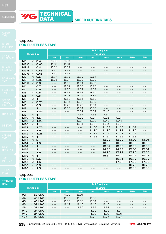



**TECHNICAL** DATA

| 挤压丝锥                      |  |
|---------------------------|--|
| <b>FOR FLUTELESS TAPS</b> |  |

|                                            | Drill Size (mm)                                                                                                                                                                                                                                                                                                                                                                              |                                                                                                                                                                                                                                                                                                                                                                                              |                                                                                                                                                                                                                                                                                                                                                                                              |                   |                 |                 |             |                                                                                                                                                                                                                                                                                                                                                                                              |
|--------------------------------------------|----------------------------------------------------------------------------------------------------------------------------------------------------------------------------------------------------------------------------------------------------------------------------------------------------------------------------------------------------------------------------------------------|----------------------------------------------------------------------------------------------------------------------------------------------------------------------------------------------------------------------------------------------------------------------------------------------------------------------------------------------------------------------------------------------|----------------------------------------------------------------------------------------------------------------------------------------------------------------------------------------------------------------------------------------------------------------------------------------------------------------------------------------------------------------------------------------------|-------------------|-----------------|-----------------|-------------|----------------------------------------------------------------------------------------------------------------------------------------------------------------------------------------------------------------------------------------------------------------------------------------------------------------------------------------------------------------------------------------------|
| <b>Thread Size</b>                         |                                                                                                                                                                                                                                                                                                                                                                                              |                                                                                                                                                                                                                                                                                                                                                                                              |                                                                                                                                                                                                                                                                                                                                                                                              | <b>Tap Limits</b> |                 |                 |             |                                                                                                                                                                                                                                                                                                                                                                                              |
|                                            | GH <sub>4</sub>                                                                                                                                                                                                                                                                                                                                                                              | GH <sub>5</sub>                                                                                                                                                                                                                                                                                                                                                                              | GH <sub>6</sub>                                                                                                                                                                                                                                                                                                                                                                              | GH <sub>7</sub>   | GH <sub>8</sub> | GH <sub>9</sub> | <b>GH10</b> | <b>GH11</b>                                                                                                                                                                                                                                                                                                                                                                                  |
| M <sub>2</sub><br>O.4<br>$\times$          | 1.83                                                                                                                                                                                                                                                                                                                                                                                         | 1.84                                                                                                                                                                                                                                                                                                                                                                                         | $- - -$                                                                                                                                                                                                                                                                                                                                                                                      | $- - -$           | $- - -$         | $- - -$         | $- - -$     | $- - -$                                                                                                                                                                                                                                                                                                                                                                                      |
| M2.2<br>0.45<br>$\times$                   | 2.00                                                                                                                                                                                                                                                                                                                                                                                         | 2.01                                                                                                                                                                                                                                                                                                                                                                                         | - - -                                                                                                                                                                                                                                                                                                                                                                                        | $- - -$           | $- - -$         | $- - -$         | $- - -$     | - - -                                                                                                                                                                                                                                                                                                                                                                                        |
| 0.4<br>M2.3<br>$\times$                    | 2.13                                                                                                                                                                                                                                                                                                                                                                                         | 2.14                                                                                                                                                                                                                                                                                                                                                                                         | $- - -$                                                                                                                                                                                                                                                                                                                                                                                      | $- - -$           | $- - -$         | $- - -$         | $- - -$     | $- - -$                                                                                                                                                                                                                                                                                                                                                                                      |
| M2.5<br>0.45<br>$\times$                   | 2.30                                                                                                                                                                                                                                                                                                                                                                                         | 2.31                                                                                                                                                                                                                                                                                                                                                                                         | - - -                                                                                                                                                                                                                                                                                                                                                                                        | $  -$             | - - -           | $  -$           | $  -$       | $- - -$                                                                                                                                                                                                                                                                                                                                                                                      |
| M <sub>2.6</sub><br>0.45<br>$\times$       | 2.40                                                                                                                                                                                                                                                                                                                                                                                         | 2.41                                                                                                                                                                                                                                                                                                                                                                                         | $- - -$                                                                                                                                                                                                                                                                                                                                                                                      | $- - -$           | $- - -$         | $  -$           | $- - -$     | $  -$                                                                                                                                                                                                                                                                                                                                                                                        |
| MЗ<br>0.5<br>$\times$                      | 2.77                                                                                                                                                                                                                                                                                                                                                                                         | 2.78                                                                                                                                                                                                                                                                                                                                                                                         | 2.79                                                                                                                                                                                                                                                                                                                                                                                         | 2.81              | $  -$           | $- - -$         | $  -$       | - - -                                                                                                                                                                                                                                                                                                                                                                                        |
| MЗ<br>0.35<br>$\times$                     | 2.85                                                                                                                                                                                                                                                                                                                                                                                         | 2.87                                                                                                                                                                                                                                                                                                                                                                                         | 2.88                                                                                                                                                                                                                                                                                                                                                                                         | 2.89              | $- - -$         | $- - -$         | $- - -$     | $- - -$                                                                                                                                                                                                                                                                                                                                                                                      |
| M3.5<br>0.6<br>$\times$                    | $\frac{1}{2} \frac{1}{2} \frac{1}{2} \frac{1}{2} \frac{1}{2} \frac{1}{2} \frac{1}{2} \frac{1}{2} \frac{1}{2} \frac{1}{2} \frac{1}{2} \frac{1}{2} \frac{1}{2} \frac{1}{2} \frac{1}{2} \frac{1}{2} \frac{1}{2} \frac{1}{2} \frac{1}{2} \frac{1}{2} \frac{1}{2} \frac{1}{2} \frac{1}{2} \frac{1}{2} \frac{1}{2} \frac{1}{2} \frac{1}{2} \frac{1}{2} \frac{1}{2} \frac{1}{2} \frac{1}{2} \frac{$ | 3.23                                                                                                                                                                                                                                                                                                                                                                                         | 3.24                                                                                                                                                                                                                                                                                                                                                                                         | 3.25              | - - -           | $- - -$         |             | - - -                                                                                                                                                                                                                                                                                                                                                                                        |
| M <sub>4</sub><br>0.7<br>$\times$          | $- - -$                                                                                                                                                                                                                                                                                                                                                                                      | 3.67                                                                                                                                                                                                                                                                                                                                                                                         | 3.68                                                                                                                                                                                                                                                                                                                                                                                         | 3.70              | $- - -$         | $- - -$         | - - -       | - - -                                                                                                                                                                                                                                                                                                                                                                                        |
| 0.5<br>M <sub>4</sub><br>$\times$          | $- - -$                                                                                                                                                                                                                                                                                                                                                                                      | 3.78                                                                                                                                                                                                                                                                                                                                                                                         | 3.79                                                                                                                                                                                                                                                                                                                                                                                         | 3.81              | $- - -$         | - - -           | $  -$       | $- - -$                                                                                                                                                                                                                                                                                                                                                                                      |
| O.B<br>M <sub>5</sub><br>$\times$          | $- - -$                                                                                                                                                                                                                                                                                                                                                                                      | 4.61                                                                                                                                                                                                                                                                                                                                                                                         | 4.63                                                                                                                                                                                                                                                                                                                                                                                         | 4.64              | - - -           | $- - -$         | $  -$       | $- - -$                                                                                                                                                                                                                                                                                                                                                                                      |
| 0.5<br>M <sub>5</sub><br>$\times$          | $- - -$                                                                                                                                                                                                                                                                                                                                                                                      | 4.78                                                                                                                                                                                                                                                                                                                                                                                         | 4.79                                                                                                                                                                                                                                                                                                                                                                                         | 4.81              | $- - -$         | $- - -$         | $  -$       | $- - -$                                                                                                                                                                                                                                                                                                                                                                                      |
| $\mathbf 1$<br>M <sub>6</sub><br>$\times$  | $- - -$                                                                                                                                                                                                                                                                                                                                                                                      | 5.50                                                                                                                                                                                                                                                                                                                                                                                         | 5.51                                                                                                                                                                                                                                                                                                                                                                                         | 5.53              | $- - -$         | $- - -$         | $- - -$     | $- - -$                                                                                                                                                                                                                                                                                                                                                                                      |
| 0.75<br>M <sub>6</sub><br>$\times$         | $- - -$                                                                                                                                                                                                                                                                                                                                                                                      | 5.64                                                                                                                                                                                                                                                                                                                                                                                         | 5.65                                                                                                                                                                                                                                                                                                                                                                                         | 5.67              | $- - -$         | $- - -$         | $- - -$     | $- - -$                                                                                                                                                                                                                                                                                                                                                                                      |
| 0.5<br>M <sub>6</sub><br>$\times$          | $- - -$                                                                                                                                                                                                                                                                                                                                                                                      | 5.78                                                                                                                                                                                                                                                                                                                                                                                         | 5.79                                                                                                                                                                                                                                                                                                                                                                                         | 5.81              | $- - -$         | $- - -$         | $- - -$     | $\frac{1}{2} \frac{1}{2} \frac{1}{2} \frac{1}{2} \frac{1}{2} \frac{1}{2} \frac{1}{2} \frac{1}{2} \frac{1}{2} \frac{1}{2} \frac{1}{2} \frac{1}{2} \frac{1}{2} \frac{1}{2} \frac{1}{2} \frac{1}{2} \frac{1}{2} \frac{1}{2} \frac{1}{2} \frac{1}{2} \frac{1}{2} \frac{1}{2} \frac{1}{2} \frac{1}{2} \frac{1}{2} \frac{1}{2} \frac{1}{2} \frac{1}{2} \frac{1}{2} \frac{1}{2} \frac{1}{2} \frac{$ |
| 1<br>M <sub>7</sub><br>$\times$            | $- - -$                                                                                                                                                                                                                                                                                                                                                                                      | 6.50                                                                                                                                                                                                                                                                                                                                                                                         | 6.51                                                                                                                                                                                                                                                                                                                                                                                         | 6.53              | $- - -$         | $- - -$         | $- - -$     | $- - -$                                                                                                                                                                                                                                                                                                                                                                                      |
| M <sub>8</sub><br>1.25<br>$\times$         | $- - -$                                                                                                                                                                                                                                                                                                                                                                                      | $\frac{1}{2} \frac{1}{2} \frac{1}{2} \frac{1}{2} \frac{1}{2} \frac{1}{2} \frac{1}{2} \frac{1}{2} \frac{1}{2} \frac{1}{2} \frac{1}{2} \frac{1}{2} \frac{1}{2} \frac{1}{2} \frac{1}{2} \frac{1}{2} \frac{1}{2} \frac{1}{2} \frac{1}{2} \frac{1}{2} \frac{1}{2} \frac{1}{2} \frac{1}{2} \frac{1}{2} \frac{1}{2} \frac{1}{2} \frac{1}{2} \frac{1}{2} \frac{1}{2} \frac{1}{2} \frac{1}{2} \frac{$ | 7.37                                                                                                                                                                                                                                                                                                                                                                                         | 7.39              | 7.40            | $- - -$         | $- - -$     | $\frac{1}{2} \frac{1}{2} \frac{1}{2} \frac{1}{2} \frac{1}{2} \frac{1}{2} \frac{1}{2} \frac{1}{2} \frac{1}{2} \frac{1}{2} \frac{1}{2} \frac{1}{2} \frac{1}{2} \frac{1}{2} \frac{1}{2} \frac{1}{2} \frac{1}{2} \frac{1}{2} \frac{1}{2} \frac{1}{2} \frac{1}{2} \frac{1}{2} \frac{1}{2} \frac{1}{2} \frac{1}{2} \frac{1}{2} \frac{1}{2} \frac{1}{2} \frac{1}{2} \frac{1}{2} \frac{1}{2} \frac{$ |
| $\mathbf{1}$<br>M <sub>8</sub><br>$\times$ | - - -                                                                                                                                                                                                                                                                                                                                                                                        | $- - -$                                                                                                                                                                                                                                                                                                                                                                                      | 7.51                                                                                                                                                                                                                                                                                                                                                                                         | 7.53              | 7.54            | $\frac{1}{2}$   | $  -$       | $- - -$                                                                                                                                                                                                                                                                                                                                                                                      |
| M <sub>10</sub><br>1.5<br>$\times$         | $  -$                                                                                                                                                                                                                                                                                                                                                                                        | $- - -$                                                                                                                                                                                                                                                                                                                                                                                      | 9.23                                                                                                                                                                                                                                                                                                                                                                                         | 9.24              | 9.26            | 9.27            | $- - -$     | $- - -$                                                                                                                                                                                                                                                                                                                                                                                      |
| <b>M10</b><br>1.25<br>$\times$             | - - -                                                                                                                                                                                                                                                                                                                                                                                        | $- - -$                                                                                                                                                                                                                                                                                                                                                                                      | 9.37                                                                                                                                                                                                                                                                                                                                                                                         | 9.39              | 9.40            | 9.41            | $- - -$     | $- - -$                                                                                                                                                                                                                                                                                                                                                                                      |
| <b>M10</b><br>1<br>$\times$                | $- - -$                                                                                                                                                                                                                                                                                                                                                                                      | $- - -$                                                                                                                                                                                                                                                                                                                                                                                      | 9.51                                                                                                                                                                                                                                                                                                                                                                                         | 9.53              | 9.54            | 9.55            | $- - -$     | $- - -$                                                                                                                                                                                                                                                                                                                                                                                      |
| M12<br>1.75<br>$\times$                    | - - -                                                                                                                                                                                                                                                                                                                                                                                        | - - -                                                                                                                                                                                                                                                                                                                                                                                        | $\frac{1}{2} \frac{1}{2} \frac{1}{2} \frac{1}{2} \frac{1}{2} \frac{1}{2} \frac{1}{2} \frac{1}{2} \frac{1}{2} \frac{1}{2} \frac{1}{2} \frac{1}{2} \frac{1}{2} \frac{1}{2} \frac{1}{2} \frac{1}{2} \frac{1}{2} \frac{1}{2} \frac{1}{2} \frac{1}{2} \frac{1}{2} \frac{1}{2} \frac{1}{2} \frac{1}{2} \frac{1}{2} \frac{1}{2} \frac{1}{2} \frac{1}{2} \frac{1}{2} \frac{1}{2} \frac{1}{2} \frac{$ | 11.10             | 11.12           | 11.13           | 11.14       | - - -                                                                                                                                                                                                                                                                                                                                                                                        |
| M12<br>1.5<br>$\times$                     | $- - -$                                                                                                                                                                                                                                                                                                                                                                                      | $- - -$                                                                                                                                                                                                                                                                                                                                                                                      | $- - -$                                                                                                                                                                                                                                                                                                                                                                                      | 11.24             | 11.26           | 11.27           | 11.28       | $- - -$                                                                                                                                                                                                                                                                                                                                                                                      |
| M12<br>1.25<br>$\times$                    | - - -                                                                                                                                                                                                                                                                                                                                                                                        | - - -                                                                                                                                                                                                                                                                                                                                                                                        | - - -                                                                                                                                                                                                                                                                                                                                                                                        | 11.39             | 11.40           | 11.41           | 11.42       | - - -                                                                                                                                                                                                                                                                                                                                                                                        |
| M12<br>1<br>$\times$                       | - - -                                                                                                                                                                                                                                                                                                                                                                                        | - - -                                                                                                                                                                                                                                                                                                                                                                                        | $- - -$                                                                                                                                                                                                                                                                                                                                                                                      | 11.53             | 11.54           | 11.55           | 11.56       | $- - -$                                                                                                                                                                                                                                                                                                                                                                                      |
| $\overline{a}$<br>M14<br>$\times$          | - - -                                                                                                                                                                                                                                                                                                                                                                                        | - - -                                                                                                                                                                                                                                                                                                                                                                                        | - - -                                                                                                                                                                                                                                                                                                                                                                                        | $- - -$           | 12.98           | 12.99           | 13.00       | 13.01                                                                                                                                                                                                                                                                                                                                                                                        |
| M14<br>1.5<br>$\times$                     | $  -$                                                                                                                                                                                                                                                                                                                                                                                        | - - -                                                                                                                                                                                                                                                                                                                                                                                        | $  -$                                                                                                                                                                                                                                                                                                                                                                                        | $- - -$           | 13.26           | 13.27           | 13.28       | 13.30                                                                                                                                                                                                                                                                                                                                                                                        |
| M14<br>1<br>$\times$                       | - - -                                                                                                                                                                                                                                                                                                                                                                                        | - - -                                                                                                                                                                                                                                                                                                                                                                                        | - - -                                                                                                                                                                                                                                                                                                                                                                                        | $- - -$           | 13.54           | 13.55           | 13.56       | 13.58                                                                                                                                                                                                                                                                                                                                                                                        |
| M16<br>2<br>$\times$                       | $- - -$                                                                                                                                                                                                                                                                                                                                                                                      | $- - -$                                                                                                                                                                                                                                                                                                                                                                                      | $- - -$                                                                                                                                                                                                                                                                                                                                                                                      | $- - -$           | 14.98           | 14.99           | 15.00       | 15.01                                                                                                                                                                                                                                                                                                                                                                                        |
| M16<br>1.5<br>$\times$                     | $- - -$                                                                                                                                                                                                                                                                                                                                                                                      | $- - -$                                                                                                                                                                                                                                                                                                                                                                                      | $- - -$                                                                                                                                                                                                                                                                                                                                                                                      | $- - -$           | 14.26           | 15.27           | 15.28       | 15.30                                                                                                                                                                                                                                                                                                                                                                                        |
| M16<br>1<br>$\times$                       | $- - -$                                                                                                                                                                                                                                                                                                                                                                                      | $- - -$                                                                                                                                                                                                                                                                                                                                                                                      | $- - -$                                                                                                                                                                                                                                                                                                                                                                                      | $- - -$           | 15.54           | 15.55           | 15.56       | 15.58                                                                                                                                                                                                                                                                                                                                                                                        |
| M18<br>2.5<br>$\times$                     | - - -                                                                                                                                                                                                                                                                                                                                                                                        | $- - -$                                                                                                                                                                                                                                                                                                                                                                                      | $- - -$                                                                                                                                                                                                                                                                                                                                                                                      | - - -             | $- - -$         | 16.71           | 16.72       | 16.73                                                                                                                                                                                                                                                                                                                                                                                        |
| M18<br>1.5<br>$\times$                     | $- - -$                                                                                                                                                                                                                                                                                                                                                                                      | $- - -$                                                                                                                                                                                                                                                                                                                                                                                      | $- - -$                                                                                                                                                                                                                                                                                                                                                                                      | $- - -$           | $- - -$         | 17.27           | 17.28       | 17.30                                                                                                                                                                                                                                                                                                                                                                                        |
| <b>M20</b><br>2.5<br>$\times$              | ---                                                                                                                                                                                                                                                                                                                                                                                          | $- - -$                                                                                                                                                                                                                                                                                                                                                                                      | - - -                                                                                                                                                                                                                                                                                                                                                                                        | $- - -$           | $- - -$         | $- - -$         | 18.72       | 18.73                                                                                                                                                                                                                                                                                                                                                                                        |
| <b>M20</b><br>1.5<br>$\times$              | $- - -$                                                                                                                                                                                                                                                                                                                                                                                      | $- - -$                                                                                                                                                                                                                                                                                                                                                                                      | $- - -$                                                                                                                                                                                                                                                                                                                                                                                      | $- - -$           | $- - -$         | $- - -$         | 19.28       | 19.30                                                                                                                                                                                                                                                                                                                                                                                        |

# **FOR FLUTELESS TAPS**

| <b>Thread Size</b> |          | Drill Size (mm)   |                 |                 |                 |                 |                 |             |             |
|--------------------|----------|-------------------|-----------------|-----------------|-----------------|-----------------|-----------------|-------------|-------------|
|                    |          | <b>Tap Limits</b> |                 |                 |                 |                 |                 |             |             |
|                    |          | GH4               | GH <sub>5</sub> | GH <sub>6</sub> | GH <sub>7</sub> | GH <sub>8</sub> | GH <sub>9</sub> | <b>GH10</b> | <b>GH11</b> |
| #2                 | - 56 UNC | $- - -$           | 1.99            | 2.01            | $  -$           | - - -           | - - -           | - - -       | - - -       |
| #4                 | - 40 UNC | $- - -$           | 2.55            | 2.56            | 2.58            | - - -           | - - -           | - - -       | - - -       |
| #5                 | - 40 UNC | $- - -$           | 2.88            | 2.89            | 2.91            | - - -           |                 | - - -       |             |
| #6                 | - 32 UNC | $- - -$           | 3.12            | 3.13            | 3.15            | 3.16            |                 | - - -       | - - -       |
| #8                 | - 32 UNC | - - -             | - - -           | 3.80            | 3.81            | 3.82            |                 | - - -       |             |
| #10                | - 24 UNC |                   | - - -           | - - -           | 4.32            | 4.33            | 4.34            | - - -       |             |
| #12                | - 24 UNC | - - -             | - - -           | - - -           | 4.98            | 4.99            | 5.01            | - - -       | - - -       |
| 1/4                | - 20 UNC | - - -             |                 | - - -           | 5.72            | 5.74            | 5.75            |             |             |

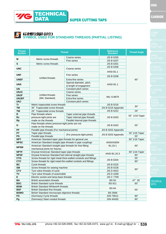标准螺纹规格(部分)<br>SYMBOL USED FOR STANDARD THREADS (PARTIAL LISTING)

Coarse series

**Symbol Thread Reference Standard Thread Angle**

TECHNICAL

JIS B 0205  $\frac{1}{10}$  B 000

HSS

**TECHNICAL** DATA

80。

|              |                                                                  | υυαιοσ οσιισο                  | <u>JIU U UZUJ</u>              |                |
|--------------|------------------------------------------------------------------|--------------------------------|--------------------------------|----------------|
| Μ            | Metric screw threads                                             | Fine series                    | <b>JIS B 0207</b>              |                |
| S            | Metric screw threads                                             | <b>JIS B 0201</b>              |                                |                |
| <b>UNC</b>   |                                                                  |                                | <b>JIS B 0206</b>              |                |
|              |                                                                  | Coarse series                  |                                |                |
| <b>UNF</b>   |                                                                  | Fine series                    | ANSI B1.1<br><b>JIS B 0208</b> |                |
| <b>UNEF</b>  | Unified threads                                                  | Extra-fine series              |                                | $60^\circ$     |
|              |                                                                  | Special diameter, pitch,       |                                |                |
| <b>UNS</b>   |                                                                  | & length of engagment          | ANSI B1.1                      |                |
| <b>UN</b>    |                                                                  | Constant-pitch series          |                                |                |
| <b>UNJC</b>  |                                                                  | Coarse series                  |                                |                |
| <b>UNJF</b>  | Unified threads                                                  | Fine series                    |                                |                |
| <b>UNJEF</b> | (MIL Standard)                                                   | Extra-fine series              | MIL-S-8879                     |                |
| <b>UNJ</b>   |                                                                  | Constant-pitch series          |                                |                |
| Tr           | Metric trapezoidal screw threads                                 |                                | <b>JIS B 0216</b>              |                |
| <b>TM</b>    | 30° Trapezoidal screw threads                                    |                                | JIS B 0216 Appendix            | $30^\circ$     |
| TW           | 29° Trapezoidal screw threads                                    |                                | <b>JIS B 0222</b>              | $29^\circ$     |
| R            | Pipe threads where                                               | Taper external pipe threads    |                                |                |
| <b>Rc</b>    | pressure-tight joints are                                        | Taper internal pipe threads    | <b>JIS B 0203</b>              | 55° 1/16 Taper |
| Rp           | made on the threads                                              | Parallel internal pipe threads |                                |                |
|              | Pipe threads where pressure-tight joints are not                 |                                |                                |                |
| G            | made on the threads                                              | <b>JIS B 0202</b>              | $55^\circ$                     |                |
| <b>PF</b>    | Parallel pipe threads (For mechanical joints)                    | JIS B 0202 Appendix            |                                |                |
| PT           | Taper pipe threads                                               |                                | 55° 1/16 Taper                 |                |
| PS           | Parallel pipe threads                                            | (For pressure-tight joints)    | JIS B 0203 Appendix            | $55^\circ$     |
| <b>NPT</b>   | American Standard taper pipe threads for general use             |                                | 60° 1/16 Taper                 |                |
| <b>NPSC</b>  | American Standard straight pipe threads in pipe couplings        |                                | ANSI/ASEM<br>B1.20.1           |                |
| <b>NPSM</b>  | American Standard straight pipe threads for free-fitting         |                                |                                | $60^\circ$     |
|              | mechanical joints for fixtures                                   |                                |                                |                |
| <b>NPTF</b>  | Dryseal American Standard taper pipe threads                     |                                | ANSI B1.20.3                   | 60° 1/16 Taper |
| <b>NPSF</b>  | Dryseal American Standard fuel internal straight pipe threads    |                                |                                | $60^\circ$     |
| <b>CTG</b>   | Screw threads for rigid metal thick-walled conduits and fittings |                                | <b>JIS B 0204</b>              | $55^\circ$     |
| <b>CTC</b>   | Screw threads for rigid metal thin-walled conduits and fittings  |                                |                                | $80^\circ$     |
| BC           | Cycle threads                                                    |                                | <b>JIS B 0225</b>              |                |
| <b>SM</b>    | Screw threads for sewing machine                                 |                                | <b>JIS B 0226</b>              | $60^\circ$     |
| <b>CTV</b>   | Tyre valve threads of cycle                                      |                                | <b>JIS D 9422</b>              |                |
| <b>TV</b>    | Tyre valve threads of automobile                                 | <b>JIS D 4208</b>              |                                |                |
| Ε.           | Electric socket and lamp-base threads                            | <b>JIS C 7709</b>              | $- - -$                        |                |
| <b>BA</b>    | <b>British association threads</b>                               | <b>BS 93</b>                   | 47° 30'                        |                |
| <b>BSC</b>   | British Standard cycle threads                                   |                                | <b>BS 811</b>                  | $60^\circ$     |
| <b>BSW</b>   | <b>British Standard Whitworth threads</b>                        |                                | <b>BS 84</b>                   |                |
| <b>BSF</b>   | <b>British Standard fine threads</b>                             |                                |                                | $55^\circ$     |
| <b>BSMO</b>  | Birtish Standard microscope objective threads                    |                                | <b>BS 3569</b>                 |                |
| FG           | (Germany) Cycle threads                                          | <b>DIN 79012</b>               | $80^\circ$                     |                |

(Germany) Steel conduit threads

**Pg**

**M**

**Thread**

**TE** 

DIN 40430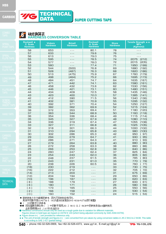

TECHNICAL **TIG** 

DATA SUPER CUTTING TAPS

### **【6】 硬度换算表**<br>HARDNESS CONVERSION TABLE

| PIRAL<br><b>OINT TAPS</b> | <b>Rockwell ★</b><br>C. Scale<br><b>Hardness</b> | <b>Vickers</b><br><b>Hardness</b> | <b>Brinell</b><br><b>Hardness</b> | <b>Rockwell</b><br>A. Scale<br><b>Hardness</b>                                                                                                                                                                                                                                                                                                                                               | <b>Shore</b><br><b>Hardness</b> | Tensile Strength * *<br><b>MPa</b><br>(Kgf/mm2) |
|---------------------------|--------------------------------------------------|-----------------------------------|-----------------------------------|----------------------------------------------------------------------------------------------------------------------------------------------------------------------------------------------------------------------------------------------------------------------------------------------------------------------------------------------------------------------------------------------|---------------------------------|-------------------------------------------------|
|                           | 58                                               | 653                               | $- - -$                           | 80.1                                                                                                                                                                                                                                                                                                                                                                                         | 78                              | - - -                                           |
|                           | 57                                               | 633                               | - - -                             | 79.6                                                                                                                                                                                                                                                                                                                                                                                         | 76                              |                                                 |
| PIRAL                     | 56                                               | 613                               | - - -                             | 79.0                                                                                                                                                                                                                                                                                                                                                                                         | 75                              |                                                 |
| LUTE TAPS                 | 55                                               | 595                               | - - -                             | 78.5                                                                                                                                                                                                                                                                                                                                                                                         | 74                              | (212)<br>2075                                   |
|                           | 54                                               | 577                               | - - -                             | 78.0                                                                                                                                                                                                                                                                                                                                                                                         | 72                              | 2015<br>(205)                                   |
|                           | 53                                               | 560                               | $- - -$                           | 77.4                                                                                                                                                                                                                                                                                                                                                                                         | 71                              | 1950<br>(199)                                   |
| STRAIGHT                  | 52                                               | 544                               | (500)                             | 76.8                                                                                                                                                                                                                                                                                                                                                                                         | 69                              | 1880<br>(192)                                   |
| <b>LUTE TAPS</b>          | 51                                               | 528                               | (487)                             | 76.3                                                                                                                                                                                                                                                                                                                                                                                         | 68                              | 1820<br>(186)                                   |
|                           | 50                                               | 513                               | (475)                             | 75.9                                                                                                                                                                                                                                                                                                                                                                                         | 67                              | 1760<br>(179)                                   |
| ONG SHANł                 | 49                                               | 498                               | (464)                             | 75.2                                                                                                                                                                                                                                                                                                                                                                                         | 66                              | 1695<br>(173)                                   |
| APS                       | 48                                               | 484                               | 451                               | 74.7                                                                                                                                                                                                                                                                                                                                                                                         | 64                              | 1635<br>(167)                                   |
|                           | 47                                               | 471                               | 442                               | 74.1                                                                                                                                                                                                                                                                                                                                                                                         | 63                              | 1580<br>(161)                                   |
|                           | 46                                               | 458                               | 432                               | 73.6                                                                                                                                                                                                                                                                                                                                                                                         | 62                              | 1530<br>(156)                                   |
| LUTELRSS                  | 45                                               | 446                               | 421                               | 73.1                                                                                                                                                                                                                                                                                                                                                                                         | 60                              | 1480<br>(151)                                   |
| APS:                      | 44                                               | 434                               | 409                               | 72.5                                                                                                                                                                                                                                                                                                                                                                                         | 58                              | 1435<br>(146)                                   |
|                           | 43                                               | 423                               | 400                               | 72.0                                                                                                                                                                                                                                                                                                                                                                                         | 57                              | 1385<br>(141)                                   |
|                           | 42                                               | 412                               | 390                               | 71.5                                                                                                                                                                                                                                                                                                                                                                                         | 56                              | 1340<br>(136)                                   |
|                           | 41                                               | 402                               | 381                               | 70.9                                                                                                                                                                                                                                                                                                                                                                                         | 55                              | 1295<br>(132)                                   |
| ISERT TAPS                | 40                                               | 392                               | 371                               | 70.4                                                                                                                                                                                                                                                                                                                                                                                         | 54                              | 1250<br>(127)                                   |
|                           | 39                                               | 382                               | 362                               | 69.9                                                                                                                                                                                                                                                                                                                                                                                         | 52                              | 1215<br>(124)                                   |
|                           | 38                                               | 372                               | 353                               | 69.4                                                                                                                                                                                                                                                                                                                                                                                         | 51                              | 1180<br>(120)                                   |
| <b>IAND TAPS</b>          | 37                                               | 363                               | 344                               | 68.9                                                                                                                                                                                                                                                                                                                                                                                         | 50                              | 1160<br>(118)                                   |
|                           | 36                                               | 354                               | 336                               | 68.4                                                                                                                                                                                                                                                                                                                                                                                         | 49                              | 1115<br>(114)                                   |
|                           | 35                                               | 345                               | 327                               | 67.9                                                                                                                                                                                                                                                                                                                                                                                         | 48                              | 1080<br>(110)                                   |
|                           | 34                                               | 336                               | 319                               | 67.4                                                                                                                                                                                                                                                                                                                                                                                         | 47                              | 1055<br>(108)                                   |
| PIPE TAPS                 | 33                                               | 327                               | 311                               | 66.8                                                                                                                                                                                                                                                                                                                                                                                         | 46                              | 1025<br>(105)                                   |
|                           | 32                                               | 318                               | 301                               | 66.3                                                                                                                                                                                                                                                                                                                                                                                         | 44                              | 1000<br>(102)                                   |
|                           | 31                                               | 310                               | 294                               | 65.8                                                                                                                                                                                                                                                                                                                                                                                         | 43                              | 980<br>(100)                                    |
| ARBIDE                    | 30                                               | 302                               | 286                               | 65.3                                                                                                                                                                                                                                                                                                                                                                                         | 42                              | 950<br>(97)                                     |
| <b>TAPS</b>               | 29                                               | 294                               | 279                               | 64.7                                                                                                                                                                                                                                                                                                                                                                                         | 41                              | 930<br>(95)                                     |
|                           | 28                                               | 286                               | 271                               | 64.3                                                                                                                                                                                                                                                                                                                                                                                         | 41                              | 910<br>93)<br>$\sqrt{2}$                        |
|                           | 27                                               | 279                               | 264                               | 63.8                                                                                                                                                                                                                                                                                                                                                                                         | 40                              | 880<br>(90)                                     |
| KS21                      | 26                                               | 272                               | 258                               | 63.3                                                                                                                                                                                                                                                                                                                                                                                         | 38                              | 860<br>(88)                                     |
| <u>IAND TAPS</u>          | 25                                               | 266                               | 253                               | 62.8                                                                                                                                                                                                                                                                                                                                                                                         | 38                              | 840<br>86)                                      |
|                           | 24                                               | 260                               | 247                               | 62.4                                                                                                                                                                                                                                                                                                                                                                                         | 37                              | 825<br>84)<br>$\mathsf{L}$                      |
|                           | 23                                               | 254                               | 243                               | 62.0                                                                                                                                                                                                                                                                                                                                                                                         | 36                              | 805<br>(82)                                     |
| KS21                      | 55                                               | 248                               | 237                               | 61.5                                                                                                                                                                                                                                                                                                                                                                                         | 35                              | 785<br>80)<br>$\mathsf{L}$                      |
| <b>IPE TAPS</b>           | 21                                               | 243                               | 231                               | 61.0                                                                                                                                                                                                                                                                                                                                                                                         | 35                              | (79)<br>770                                     |
|                           | 20                                               | 238                               | 226                               | 60.5                                                                                                                                                                                                                                                                                                                                                                                         | 34                              | 760<br>(77)                                     |
|                           | (18)                                             | 230                               | 219                               | $- - -$                                                                                                                                                                                                                                                                                                                                                                                      | 33                              | 730 ( 75)                                       |
| <b>THREAD</b>             | (16)                                             | 555                               | 212                               | $- - -$                                                                                                                                                                                                                                                                                                                                                                                      | 32                              | 705<br>(72)                                     |
| <u>MILLS_</u>             | (14)                                             | 213                               | 203                               | - - -                                                                                                                                                                                                                                                                                                                                                                                        | 31                              | 675<br>(69)                                     |
|                           | (12)                                             | 204                               | 194                               | $\frac{1}{2} \frac{1}{2} \frac{1}{2} \frac{1}{2} \frac{1}{2} \frac{1}{2} \frac{1}{2} \frac{1}{2} \frac{1}{2} \frac{1}{2} \frac{1}{2} \frac{1}{2} \frac{1}{2} \frac{1}{2} \frac{1}{2} \frac{1}{2} \frac{1}{2} \frac{1}{2} \frac{1}{2} \frac{1}{2} \frac{1}{2} \frac{1}{2} \frac{1}{2} \frac{1}{2} \frac{1}{2} \frac{1}{2} \frac{1}{2} \frac{1}{2} \frac{1}{2} \frac{1}{2} \frac{1}{2} \frac{$ | 29                              | 650<br>(66)                                     |
| <b>TECHNICAL</b>          | (10)                                             | 196                               | 187                               | - - -                                                                                                                                                                                                                                                                                                                                                                                        | 28                              | 620<br>(63)                                     |
| DATA                      | (8)                                              | 188                               | 179                               | ---                                                                                                                                                                                                                                                                                                                                                                                          | 27                              | 600<br>(61)                                     |
|                           | (6)                                              | 180                               | 171                               | - - -                                                                                                                                                                                                                                                                                                                                                                                        | 26                              | 580<br>(59)                                     |
|                           | (4)                                              | 173                               | 165                               | - - -                                                                                                                                                                                                                                                                                                                                                                                        | 25                              | 550<br>(56)                                     |
|                           | (2)                                              | 166                               | 158                               | $\frac{1}{2} \frac{1}{2} \frac{1}{2} \frac{1}{2} \frac{1}{2} \frac{1}{2} \frac{1}{2} \frac{1}{2} \frac{1}{2} \frac{1}{2} \frac{1}{2} \frac{1}{2} \frac{1}{2} \frac{1}{2} \frac{1}{2} \frac{1}{2} \frac{1}{2} \frac{1}{2} \frac{1}{2} \frac{1}{2} \frac{1}{2} \frac{1}{2} \frac{1}{2} \frac{1}{2} \frac{1}{2} \frac{1}{2} \frac{1}{2} \frac{1}{2} \frac{1}{2} \frac{1}{2} \frac{1}{2} \frac{$ | 24                              | 530<br>(54)                                     |
|                           | (0)                                              | 160                               | 152                               | $- - -$                                                                                                                                                                                                                                                                                                                                                                                      | 24                              | 515<br>(53)                                     |

● 硬度转换只作为粗略的参考, 因为不同材料会有变化.<br>\_\_黑体字的数字是以ASTM E 140为基准(通常由SAE-ASM-ASTM进行调整)

● Hardness conversions should only be used as a rough guide due to variation for different materials.<br>● Hardness conversions should only be used as a rough guide due to variation for different materials.

Figures shown in bold type are based on ASTM E 140 (which being adjusted commonly by SAE-ASM-ASTM).

★ Figure shown in ( ) are provided for reference only.

★★ The unit of tensile strength and figures in ( ) are converted from psi values by using conversion tables in JIS Z 8413 & Z 8438. This table is according to SAE J 417 (partial listing).



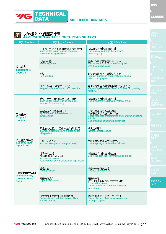|                                                   | 攻丝过程中的问题及对策<br>APPLICATION AND USE OF THREADING TAPS                                                                 |                                                                                                                                             | <b>COMBO</b><br><b>TAPS</b>                        |
|---------------------------------------------------|----------------------------------------------------------------------------------------------------------------------|---------------------------------------------------------------------------------------------------------------------------------------------|----------------------------------------------------|
| 问题/Problem                                        | 问题发生 / Causes                                                                                                        | 对策 / Solutions                                                                                                                              |                                                    |
| 攻孔过大<br><b>Tapped hole</b><br>oversize            | 不正确的丝锥使用(切削掺数不适合运用)<br>Incorrect tap in use (cutting geometry<br>unsuitable for application)                         | 根据相应的材料组选择丝锥<br>Use tap selected from the relevant<br>material group                                                                        | <b>SPIRAL</b><br>POINT TAPS<br><b>SPIRAL</b>       |
|                                                   | 同轴性不好<br><b>Faulty alignment</b>                                                                                     | 确保丝锥和锥孔海确的在一条线上<br>Ensure that the tap is correctly aligned<br>with the core hole axis                                                      | <b>FLUTE TAPS</b><br><b>STRAIGHT</b>               |
|                                                   | 冷焊<br>改变冷却油方向, 调整切削速度<br>Cold welding<br>Improve lubrication and direction of coolant<br><b>Adjust cutting speed</b> |                                                                                                                                             | <b>FLUTE TAPS</b><br><b>LONG SHANK</b>             |
|                                                   | 重置丝锥(引入线不是同心的)<br>Re-ground tap(lead-in is not concentric)                                                           | 用合适的研磨机械再研磨丝锥的引入部分<br>Regrind tap lead correctly on a suitable tap grinding<br>machine                                                      | TAPS<br><b>FLUTELRSS</b><br><b>TAPS</b>            |
|                                                   | 错误使用丝锥(切削参数不适合运用)<br>Incorrect tap in use (cutting geometry<br>incorrect for application)                            | 根据相应的材料组选择丝锥<br>Use a tap from the relevant material group.                                                                                 | <b>SCREW</b><br><b>THREAD</b><br><b>NSERT TAPS</b> |
| 带状螺纹<br><b>Stripped</b><br>threads                | 主轴速度和进给率不同步<br>Spindle speed and feed rate not<br>synchronized                                                       | 检查进给率程序和主轴螺距<br>使用带有轴向滑动的攻丝主轴<br>Check feed rate programming and / or pitch of leading<br>spindle<br>Use a tapping spindle with axial float | <b>HAND TAPS</b>                                   |
|                                                   | 不足的启动压力,促使外面的螺纹脱落<br>Insufficient start pressure exerted on tap<br>with peel-cut                                     | 增大启动压力<br>Increase start pressure                                                                                                           | PIPE TAPS<br><b>CARBIDE</b>                        |
| 攻丝的孔成钟型<br><b>Bell mouthed</b><br>tapped hole     | 启动压力不合适<br>Incorrect start pressure applied to tap                                                                   | 使用带有轴向滑动的攻丝主轴<br>Use a tapping spindle with axial float                                                                                     | TAPS :                                             |
|                                                   | $1.111 \pm 0.01$<br>错误使用丝锥                                                                                           | 根据相应的材料组选择丝锥                                                                                                                                | SKS21<br><b>HAND TAPS</b>                          |
|                                                   | (切削参数不适合运用)<br>Incorrect tap in use<br>(Cutting geometry unsuitable for application)                                 | Select tap from the relevant material group                                                                                                 | SKS21<br>PIPE TAPS                                 |
| 不理想的螺纹表面                                          | 丝锥生硬<br>The tap is blunt                                                                                             | 替换和重新研磨丝锥<br>Replace or re-grind tap                                                                                                        | <b>THREAD</b><br><b>MILLS</b>                      |
| <b>Unsatisfactory</b><br>thread surface<br>finish | 再研磨效果差<br>Tap badly re-ground                                                                                        | 再研磨一遍<br>检查切削参数是否适合被加工材料<br>Re-grind tap again.<br>Check that cutting geometry is suitable<br>for material                                  | <b>TECHNICAL</b><br><b>DATA</b>                    |
|                                                   | 冷却油太少影响润滑质量和产量<br>Coolant lacking in lubricating qualities<br>and / or quantity                                      | 确保令却油使用正确且供应充足<br>Ensure the use of asuitable coolant and<br>an ample supply                                                                |                                                    |